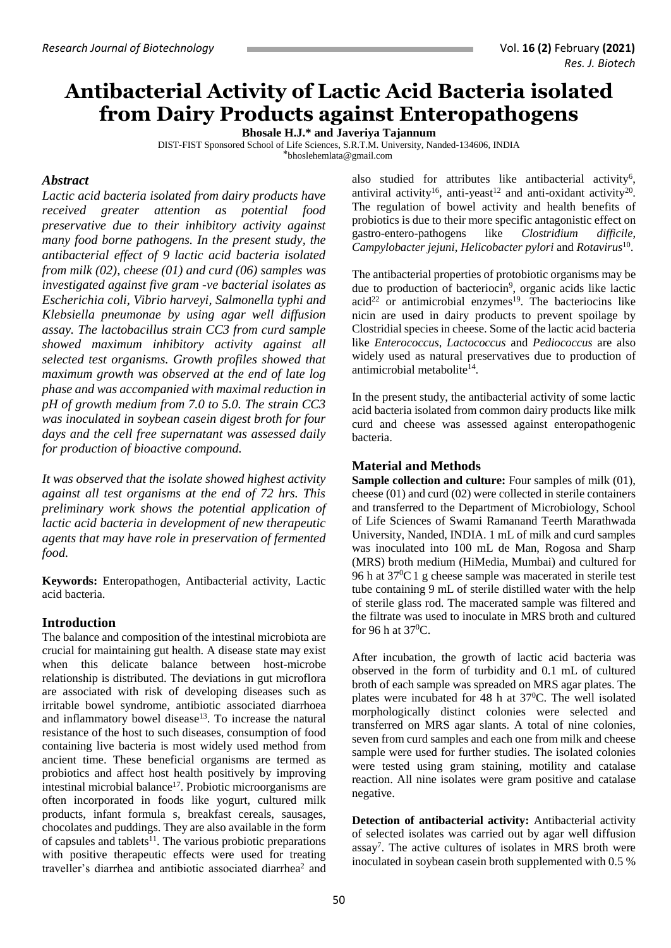# **Antibacterial Activity of Lactic Acid Bacteria isolated from Dairy Products against Enteropathogens**

**Bhosale H.J.\* and Javeriya Tajannum**

DIST-FIST Sponsored School of Life Sciences, S.R.T.M. University, Nanded-134606, INDIA

[⃰bhoslehemlata@gmail.com](mailto:bhoslehemlata@gmail.com)

# *Abstract*

*Lactic acid bacteria isolated from dairy products have received greater attention as potential food preservative due to their inhibitory activity against many food borne pathogens. In the present study, the antibacterial effect of 9 lactic acid bacteria isolated from milk (02), cheese (01) and curd (06) samples was investigated against five gram -ve bacterial isolates as Escherichia coli, Vibrio harveyi, Salmonella typhi and Klebsiella pneumonae by using agar well diffusion assay. The lactobacillus strain CC3 from curd sample showed maximum inhibitory activity against all selected test organisms. Growth profiles showed that maximum growth was observed at the end of late log phase and was accompanied with maximal reduction in pH of growth medium from 7.0 to 5.0. The strain CC3 was inoculated in soybean casein digest broth for four days and the cell free supernatant was assessed daily for production of bioactive compound.* 

*It was observed that the isolate showed highest activity against all test organisms at the end of 72 hrs. This preliminary work shows the potential application of lactic acid bacteria in development of new therapeutic agents that may have role in preservation of fermented food.*

**Keywords:** Enteropathogen, Antibacterial activity, Lactic acid bacteria.

# **Introduction**

The balance and composition of the intestinal microbiota are crucial for maintaining gut health. A disease state may exist when this delicate balance between host-microbe relationship is distributed. The deviations in gut microflora are associated with risk of developing diseases such as irritable bowel syndrome, antibiotic associated diarrhoea and inflammatory bowel disease<sup>13</sup>. To increase the natural resistance of the host to such diseases, consumption of food containing live bacteria is most widely used method from ancient time. These beneficial organisms are termed as probiotics and affect host health positively by improving intestinal microbial balance $17$ . Probiotic microorganisms are often incorporated in foods like yogurt, cultured milk products, infant formula s, breakfast cereals, sausages, chocolates and puddings. They are also available in the form of capsules and tablets<sup>11</sup>. The various probiotic preparations with positive therapeutic effects were used for treating traveller's diarrhea and antibiotic associated diarrhea<sup>2</sup> and

also studied for attributes like antibacterial activity<sup>6</sup>, antiviral activity<sup>16</sup>, anti-yeast<sup>12</sup> and anti-oxidant activity<sup>20</sup>. The regulation of bowel activity and health benefits of probiotics is due to their more specific antagonistic effect on gastro-entero-pathogens like *Clostridium difficile*, *Campylobacter jejuni*, *Helicobacter pylori* and *Rotavirus*<sup>10</sup> .

The antibacterial properties of protobiotic organisms may be due to production of bacteriocin<sup>9</sup>, organic acids like lactic  $acid<sup>22</sup>$  or antimicrobial enzymes<sup>19</sup>. The bacteriocins like nicin are used in dairy products to prevent spoilage by Clostridial species in cheese. Some of the lactic acid bacteria like *Enterococcus*, *Lactococcus* and *Pediococcus* are also widely used as natural preservatives due to production of antimicrobial metabolite<sup>14</sup>.

In the present study, the antibacterial activity of some lactic acid bacteria isolated from common dairy products like milk curd and cheese was assessed against enteropathogenic bacteria.

## **Material and Methods**

**Sample collection and culture:** Four samples of milk (01), cheese (01) and curd (02) were collected in sterile containers and transferred to the Department of Microbiology, School of Life Sciences of Swami Ramanand Teerth Marathwada University, Nanded, INDIA. 1 mL of milk and curd samples was inoculated into 100 mL de Man, Rogosa and Sharp (MRS) broth medium (HiMedia, Mumbai) and cultured for 96 h at  $37^{\circ}$ C 1 g cheese sample was macerated in sterile test tube containing 9 mL of sterile distilled water with the help of sterile glass rod. The macerated sample was filtered and the filtrate was used to inoculate in MRS broth and cultured for 96 h at  $37^0$ C.

After incubation, the growth of lactic acid bacteria was observed in the form of turbidity and 0.1 mL of cultured broth of each sample was spreaded on MRS agar plates. The plates were incubated for 48 h at  $37^{\circ}$ C. The well isolated morphologically distinct colonies were selected and transferred on MRS agar slants. A total of nine colonies, seven from curd samples and each one from milk and cheese sample were used for further studies. The isolated colonies were tested using gram staining, motility and catalase reaction. All nine isolates were gram positive and catalase negative.

**Detection of antibacterial activity:** Antibacterial activity of selected isolates was carried out by agar well diffusion assay 7 . The active cultures of isolates in MRS broth were inoculated in soybean casein broth supplemented with 0.5 %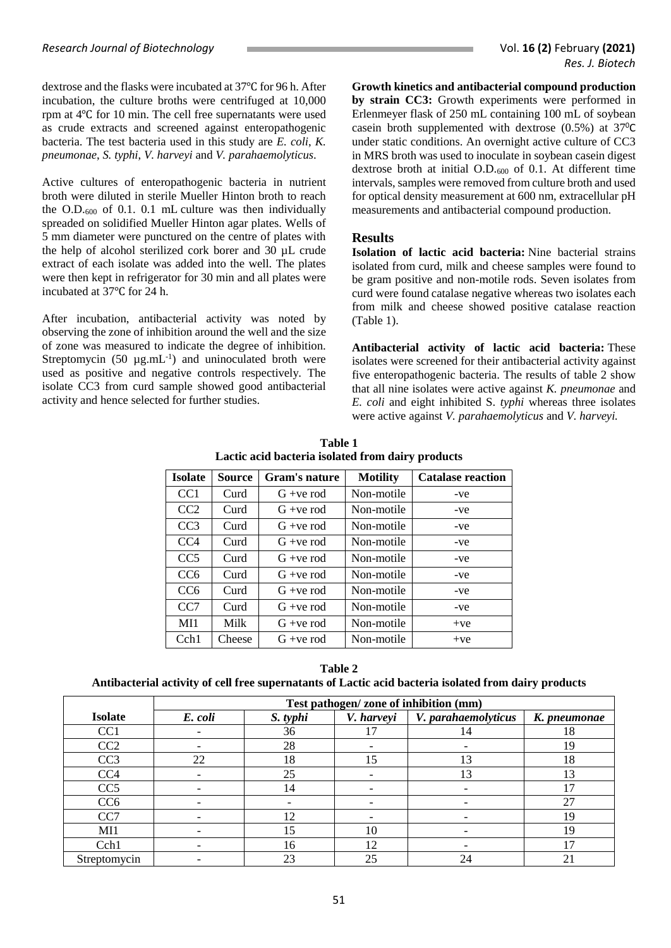dextrose and the flasks were incubated at 37℃ for 96 h. After incubation, the culture broths were centrifuged at 10,000 rpm at 4℃ for 10 min. The cell free supernatants were used as crude extracts and screened against enteropathogenic bacteria. The test bacteria used in this study are *E. coli*, *K. pneumonae*, *S. typhi*, *V. harveyi* and *V. parahaemolyticus*.

Active cultures of enteropathogenic bacteria in nutrient broth were diluted in sterile Mueller Hinton broth to reach the  $O.D.600$  of 0.1. 0.1 mL culture was then individually spreaded on solidified Mueller Hinton agar plates. Wells of 5 mm diameter were punctured on the centre of plates with the help of alcohol sterilized cork borer and 30 µL crude extract of each isolate was added into the well. The plates were then kept in refrigerator for 30 min and all plates were incubated at 37℃ for 24 h.

After incubation, antibacterial activity was noted by observing the zone of inhibition around the well and the size of zone was measured to indicate the degree of inhibition. Streptomycin  $(50 \text{ µg.mL}^{-1})$  and uninoculated broth were used as positive and negative controls respectively. The isolate CC3 from curd sample showed good antibacterial activity and hence selected for further studies.

**Growth kinetics and antibacterial compound production by strain CC3:** Growth experiments were performed in Erlenmeyer flask of 250 mL containing 100 mL of soybean casein broth supplemented with dextrose (0.5%) at 37<sup>0</sup>C under static conditions. An overnight active culture of CC3 in MRS broth was used to inoculate in soybean casein digest dextrose broth at initial O.D.<sup>600</sup> of 0.1. At different time intervals, samples were removed from culture broth and used for optical density measurement at 600 nm, extracellular pH measurements and antibacterial compound production.

#### **Results**

**Isolation of lactic acid bacteria:** Nine bacterial strains isolated from curd, milk and cheese samples were found to be gram positive and non-motile rods. Seven isolates from curd were found catalase negative whereas two isolates each from milk and cheese showed positive catalase reaction (Table 1).

**Antibacterial activity of lactic acid bacteria:** These isolates were screened for their antibacterial activity against five enteropathogenic bacteria. The results of table 2 show that all nine isolates were active against *K. pneumonae* and *E. coli* and eight inhibited S. *typhi* whereas three isolates were active against *V. parahaemolyticus* and *V. harveyi.*

| <b>Isolate</b>  | <b>Source</b> | Gram's nature | <b>Motility</b> | <b>Catalase reaction</b> |
|-----------------|---------------|---------------|-----------------|--------------------------|
| CC <sub>1</sub> | Curd          | $G + ve$ rod  | Non-motile      | -ve                      |
| CC <sub>2</sub> | Curd          | $G + ve$ rod  | Non-motile      | -ve                      |
| CC <sub>3</sub> | Curd          | $G + ve$ rod  | Non-motile      | -ve                      |
| CC <sub>4</sub> | Curd          | $G + ve$ rod  | Non-motile      | -ve                      |
| CC <sub>5</sub> | Curd          | $G + ve$ rod  | Non-motile      | -ve                      |
| CC <sub>6</sub> | Curd          | $G + ve$ rod  | Non-motile      | -ve                      |
| CC <sub>6</sub> | Curd          | $G + ve$ rod  | Non-motile      | -ve                      |
| CC <sub>7</sub> | Curd          | $G + ve$ rod  | Non-motile      | -ve                      |
| M11             | Milk          | $G + ve$ rod  | Non-motile      | $+ve$                    |
| Cch1            | Cheese        | $G + ve$ rod  | Non-motile      | $+ve$                    |

**Table 1 Lactic acid bacteria isolated from dairy products**

**Table 2 Antibacterial activity of cell free supernatants of Lactic acid bacteria isolated from dairy products**

|                 | Test pathogen/zone of inhibition (mm) |                          |            |                          |              |  |
|-----------------|---------------------------------------|--------------------------|------------|--------------------------|--------------|--|
| <b>Isolate</b>  | E. coli                               | S. typhi                 | V. harveyi | V. parahaemolyticus      | K. pneumonae |  |
| CC <sub>1</sub> |                                       | 36                       |            | 14                       | 18           |  |
| CC2             |                                       | 28                       |            |                          | 19           |  |
| CC <sub>3</sub> | 22                                    | 18                       | 15         | 13                       | 18           |  |
| CC <sub>4</sub> |                                       | 25                       |            | 13                       | 13           |  |
| CC <sub>5</sub> |                                       | 14                       |            |                          | 17           |  |
| CC6             | $\overline{\phantom{a}}$              | $\overline{\phantom{0}}$ |            | $\overline{\phantom{a}}$ | 27           |  |
| CC7             |                                       | 12                       |            | $\overline{\phantom{a}}$ | 19           |  |
| MI1             |                                       | 15                       | 10         |                          | 19           |  |
| Cch1            |                                       | 16                       | 12         |                          | 17           |  |
| Streptomycin    |                                       | 23                       | 25         | 24                       | 21           |  |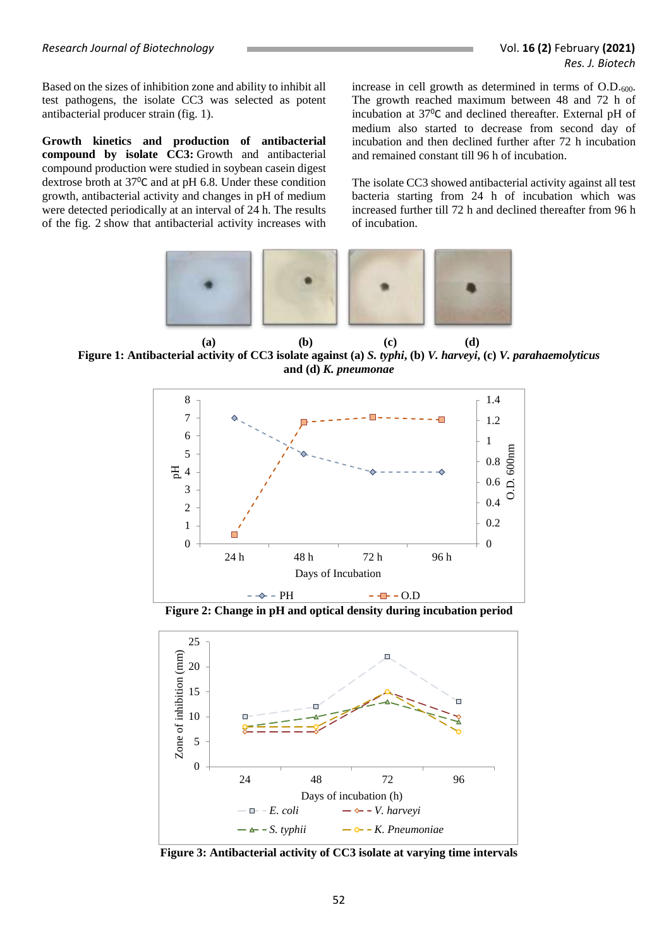Based on the sizes of inhibition zone and ability to inhibit all test pathogens, the isolate CC3 was selected as potent antibacterial producer strain (fig. 1).

**Growth kinetics and production of antibacterial compound by isolate CC3:** Growth and antibacterial compound production were studied in soybean casein digest dextrose broth at 37<sup>0</sup>C and at pH 6.8. Under these condition growth, antibacterial activity and changes in pH of medium were detected periodically at an interval of 24 h. The results of the fig. 2 show that antibacterial activity increases with

increase in cell growth as determined in terms of O.D.600. The growth reached maximum between 48 and 72 h of incubation at 37<sup>0</sup>C and declined thereafter. External pH of medium also started to decrease from second day of incubation and then declined further after 72 h incubation and remained constant till 96 h of incubation.

The isolate CC3 showed antibacterial activity against all test bacteria starting from 24 h of incubation which was increased further till 72 h and declined thereafter from 96 h of incubation.



 **(a) (b) (c) (d) Figure 1: Antibacterial activity of CC3 isolate against (a)** *S. typhi***, (b)** *V. harveyi***, (c)** *V. parahaemolyticus* **and (d)** *K. pneumonae*



**Figure 2: Change in pH and optical density during incubation period**



**Figure 3: Antibacterial activity of CC3 isolate at varying time intervals**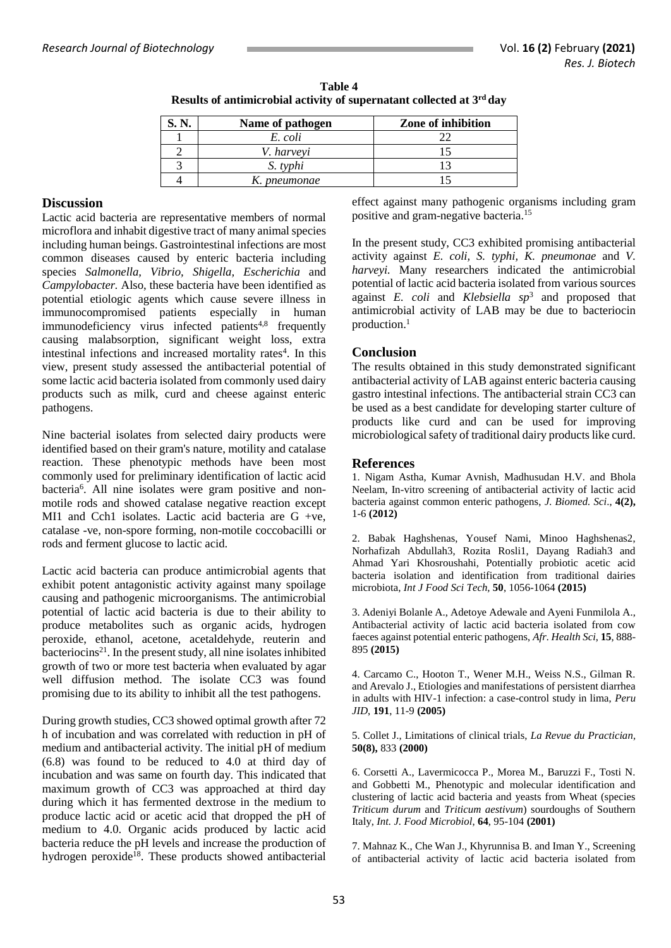| Name of pathogen | Zone of inhibition |
|------------------|--------------------|
| E. coli          |                    |
| V. harveyi       |                    |
| S. typhi         |                    |
| K. pneumonae     |                    |

**Table 4 Results of antimicrobial activity of supernatant collected at 3rd day**

### **Discussion**

Lactic acid bacteria are representative members of normal microflora and inhabit digestive tract of many animal species including human beings. Gastrointestinal infections are most common diseases caused by enteric bacteria including species *Salmonella, Vibrio, Shigella, Escherichia* and *Campylobacter.* Also, these bacteria have been identified as potential etiologic agents which cause severe illness in immunocompromised patients especially in human  $immunodeficiency$  virus infected patients<sup>4,8</sup> frequently causing malabsorption, significant weight loss, extra intestinal infections and increased mortality rates<sup>4</sup>. In this view, present study assessed the antibacterial potential of some lactic acid bacteria isolated from commonly used dairy products such as milk, curd and cheese against enteric pathogens.

Nine bacterial isolates from selected dairy products were identified based on their gram's nature, motility and catalase reaction. These phenotypic methods have been most commonly used for preliminary identification of lactic acid bacteria<sup>6</sup> . All nine isolates were gram positive and nonmotile rods and showed catalase negative reaction except MI1 and Cch1 isolates. Lactic acid bacteria are G +ve, catalase -ve, non-spore forming, non-motile coccobacilli or rods and ferment glucose to lactic acid.

Lactic acid bacteria can produce antimicrobial agents that exhibit potent antagonistic activity against many spoilage causing and pathogenic microorganisms. The antimicrobial potential of lactic acid bacteria is due to their ability to produce metabolites such as organic acids, hydrogen peroxide, ethanol, acetone, acetaldehyde, reuterin and  $b$ acteriocins<sup>21</sup>. In the present study, all nine isolates inhibited growth of two or more test bacteria when evaluated by agar well diffusion method. The isolate CC3 was found promising due to its ability to inhibit all the test pathogens.

During growth studies, CC3 showed optimal growth after 72 h of incubation and was correlated with reduction in pH of medium and antibacterial activity. The initial pH of medium (6.8) was found to be reduced to 4.0 at third day of incubation and was same on fourth day. This indicated that maximum growth of CC3 was approached at third day during which it has fermented dextrose in the medium to produce lactic acid or acetic acid that dropped the pH of medium to 4.0. Organic acids produced by lactic acid bacteria reduce the pH levels and increase the production of hydrogen peroxide<sup>18</sup>. These products showed antibacterial effect against many pathogenic organisms including gram positive and gram-negative bacteria. 15

In the present study, CC3 exhibited promising antibacterial activity against *E. coli, S. typhi, K. pneumonae* and *V. harveyi.* Many researchers indicated the antimicrobial potential of lactic acid bacteria isolated from various sources against *E. coli* and *Klebsiella sp*<sup>3</sup> and proposed that antimicrobial activity of LAB may be due to bacteriocin production. 1

## **Conclusion**

The results obtained in this study demonstrated significant antibacterial activity of LAB against enteric bacteria causing gastro intestinal infections. The antibacterial strain CC3 can be used as a best candidate for developing starter culture of products like curd and can be used for improving microbiological safety of traditional dairy products like curd.

## **References**

1. Nigam Astha, Kumar Avnish, Madhusudan H.V. and Bhola Neelam, In-vitro screening of antibacterial activity of lactic acid bacteria against common enteric pathogens, *J. Biomed. Sci*., **4(2),** 1-6 **(2012)**

2. Babak Haghshenas, Yousef Nami, Minoo Haghshenas2, Norhafizah Abdullah3, Rozita Rosli1, Dayang Radiah3 and Ahmad Yari Khosroushahi, Potentially probiotic acetic acid bacteria isolation and identification from traditional dairies microbiota, *Int J Food Sci Tech,* **50**, 1056-1064 **(2015)**

3. Adeniyi Bolanle A., Adetoye Adewale and Ayeni Funmilola A., Antibacterial activity of lactic acid bacteria isolated from cow faeces against potential enteric pathogens, *Afr. Health Sci*, **15**, 888- 895 **(2015)**

4. Carcamo C., Hooton T., Wener M.H., Weiss N.S., Gilman R. and Arevalo J., Etiologies and manifestations of persistent diarrhea in adults with HIV-1 infection: a case-control study in lima, *Peru JID*, **191**, 11-9 **(2005)**

5. Collet J., Limitations of clinical trials, *La Revue du Practician,*  **50(8),** 833 **(2000)**

6. Corsetti A., Lavermicocca P., Morea M., Baruzzi F., Tosti N. and Gobbetti M., Phenotypic and molecular identification and clustering of lactic acid bacteria and yeasts from Wheat (species *Triticum durum* and *Triticum aestivum*) sourdoughs of Southern Italy, *Int. J. Food Microbiol*, **64**, 95-104 **(2001)**

7. Mahnaz K., Che Wan J., Khyrunnisa B. and Iman Y., Screening of antibacterial activity of lactic acid bacteria isolated from